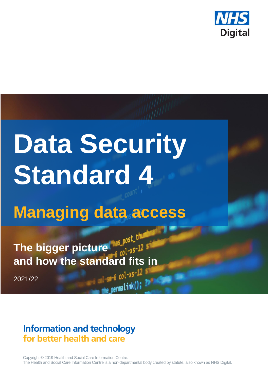

# **Data Security Standard 4**

# **Managing data access**

**The bigger picture and how the standard fits in**

2021/22

# **Information and technology** for better health and care

Copyright © 2019 Health and Social Care Information Centre. The Health and Social Care Information Centre is a non-departmental body created by statute, also known as NHS Digital.

 $e$  permalink();  $P$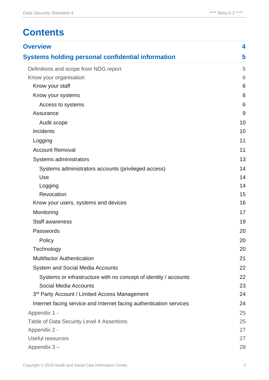# **Contents**

| <b>Overview</b>                                                     | 4  |
|---------------------------------------------------------------------|----|
| <b>Systems holding personal confidential information</b>            | 5  |
| Definitions and scope from NDG report                               | 5  |
| Know your organisation                                              | 6  |
| Know your staff                                                     | 6  |
| Know your systems                                                   | 6  |
| Access to systems                                                   | 6  |
| Assurance                                                           | 9  |
| Audit scope                                                         | 10 |
| Incidents                                                           | 10 |
| Logging                                                             | 11 |
| <b>Account Removal</b>                                              | 11 |
| Systems administrators                                              | 13 |
| Systems administrators accounts (privileged access)                 | 14 |
| Use                                                                 | 14 |
| Logging                                                             | 14 |
| Revocation                                                          | 15 |
| Know your users, systems and devices                                | 16 |
| Monitoring                                                          | 17 |
| <b>Staff awareness</b>                                              | 19 |
| Passwords                                                           | 20 |
| Policy                                                              | 20 |
| Technology                                                          | 20 |
| <b>Multifactor Authentication</b>                                   | 21 |
| <b>System and Social Media Accounts</b>                             | 22 |
| Systems or infrastructure with no concept of identity / accounts    | 22 |
| <b>Social Media Accounts</b>                                        | 23 |
| 3 <sup>rd</sup> Party Account / Limited Access Management           | 24 |
| Internet facing service and Internet facing authentication services | 24 |
| Appendix 1 -                                                        | 25 |
| Table of Data Security Level 4 Assertions                           | 25 |
| Appendix 2 -                                                        | 27 |
| Useful resources                                                    | 27 |
| Appendix 3-                                                         | 28 |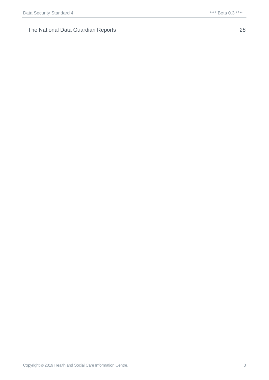#### [The National Data Guardian Reports](#page-27-1) 28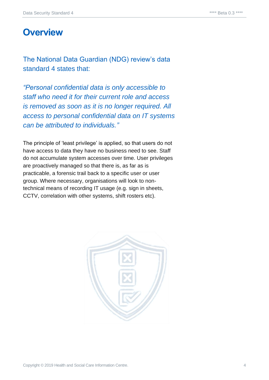# <span id="page-3-0"></span>**Overview**

The National Data Guardian (NDG) review's data standard 4 states that:

*"Personal confidential data is only accessible to staff who need it for their current role and access is removed as soon as it is no longer required. All access to personal confidential data on IT systems can be attributed to individuals."*

The principle of 'least privilege' is applied, so that users do not have access to data they have no business need to see. Staff do not accumulate system accesses over time. User privileges are proactively managed so that there is, as far as is practicable, a forensic trail back to a specific user or user group. Where necessary, organisations will look to nontechnical means of recording IT usage (e.g. sign in sheets, CCTV, correlation with other systems, shift rosters etc).

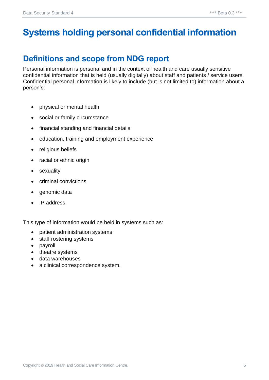# <span id="page-4-0"></span>**Systems holding personal confidential information**

# <span id="page-4-1"></span>**Definitions and scope from NDG report**

Personal information is personal and in the context of health and care usually sensitive confidential information that is held (usually digitally) about staff and patients / service users. Confidential personal information is likely to include (but is not limited to) information about a person's:

- physical or mental health
- social or family circumstance
- financial standing and financial details
- education, training and employment experience
- religious beliefs
- racial or ethnic origin
- **sexuality**
- criminal convictions
- genomic data
- IP address.

This type of information would be held in systems such as:

- patient administration systems
- staff rostering systems
- payroll
- theatre systems
- data warehouses
- a clinical correspondence system.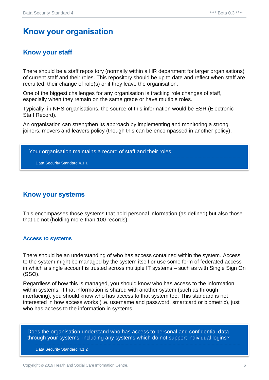# <span id="page-5-0"></span>**Know your organisation**

#### <span id="page-5-1"></span>**Know your staff**

There should be a staff repository (normally within a HR department for larger organisations) of current staff and their roles. This repository should be up to date and reflect when staff are recruited, their change of role(s) or if they leave the organisation.

One of the biggest challenges for any organisation is tracking role changes of staff, especially when they remain on the same grade or have multiple roles.

Typically, in NHS organisations, the source of this information would be ESR (Electronic Staff Record).

An organisation can strengthen its approach by implementing and monitoring a strong joiners, movers and leavers policy (though this can be encompassed in another policy).

Your organisation maintains a record of staff and their roles.

Data Security Standard 4.1.1

#### <span id="page-5-2"></span>**Know your systems**

This encompasses those systems that hold personal information (as defined) but also those that do not (holding more than 100 records).

#### <span id="page-5-3"></span>**Access to systems**

There should be an understanding of who has access contained within the system. Access to the system might be managed by the system itself or use some form of federated access in which a single account is trusted across multiple IT systems – such as with Single Sign On (SSO).

Regardless of how this is managed, you should know who has access to the information within systems. If that information is shared with another system (such as through interfacing), you should know who has access to that system too. This standard is not interested in how access works (i.e. username and password, smartcard or biometric), just who has access to the information in systems.

Does the organisation understand who has access to personal and confidential data through your systems, including any systems which do not support individual logins?

Data Security Standard 4.1.2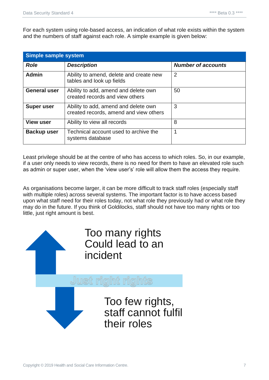For each system using role-based access, an indication of what role exists within the system and the numbers of staff against each role. A simple example is given below:

| <b>Simple sample system</b> |                                                                                |                           |  |
|-----------------------------|--------------------------------------------------------------------------------|---------------------------|--|
| <b>Role</b>                 | <b>Description</b>                                                             | <b>Number of accounts</b> |  |
| <b>Admin</b>                | Ability to amend, delete and create new<br>tables and look up fields           | $\overline{2}$            |  |
| <b>General user</b>         | Ability to add, amend and delete own<br>created records and view others        | 50                        |  |
| <b>Super user</b>           | Ability to add, amend and delete own<br>created records, amend and view others | 3                         |  |
| <b>View user</b>            | Ability to view all records                                                    | 8                         |  |
| <b>Backup user</b>          | Technical account used to archive the<br>systems database                      | 1                         |  |

Least privilege should be at the centre of who has access to which roles. So, in our example, if a user only needs to view records, there is no need for them to have an elevated role such as admin or super user, when the 'view user's' role will allow them the access they require.

As organisations become larger, it can be more difficult to track staff roles (especially staff with multiple roles) across several systems. The important factor is to have access based upon what staff need for their roles today, not what role they previously had or what role they may do in the future. If you think of Goldilocks, staff should not have too many rights or too little, just right amount is best.

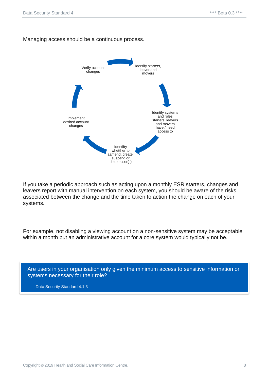Managing access should be a continuous process.



If you take a periodic approach such as acting upon a monthly ESR starters, changes and leavers report with manual intervention on each system, you should be aware of the risks associated between the change and the time taken to action the change on each of your systems.

For example, not disabling a viewing account on a non-sensitive system may be acceptable within a month but an administrative account for a core system would typically not be.

Are users in your organisation only given the minimum access to sensitive information or systems necessary for their role?

Data Security Standard 4.1.3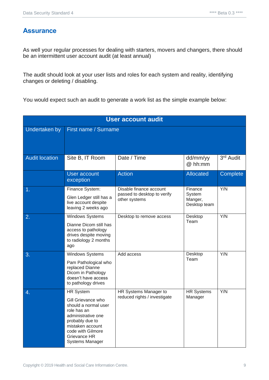#### <span id="page-8-0"></span>**Assurance**

As well your regular processes for dealing with starters, movers and changers, there should be an intermittent user account audit (at least annual)

The audit should look at your user lists and roles for each system and reality, identifying changes or deleting / disabling.

You would expect such an audit to generate a work list as the simple example below:

| <b>User account audit</b> |                                                                                                                                                                                                           |                                                                         |                                              |           |
|---------------------------|-----------------------------------------------------------------------------------------------------------------------------------------------------------------------------------------------------------|-------------------------------------------------------------------------|----------------------------------------------|-----------|
| Undertaken by             | First name / Surname                                                                                                                                                                                      |                                                                         |                                              |           |
| <b>Audit location</b>     | Site B, IT Room                                                                                                                                                                                           | Date / Time                                                             | dd/mm/yy<br>@ hh:mm                          | 3rd Audit |
|                           | <b>User account</b><br>exception                                                                                                                                                                          | <b>Action</b>                                                           | <b>Allocated</b>                             | Complete  |
| 1.                        | Finance System:<br>Glen Ledger still has a<br>live account despite<br>leaving 2 weeks ago                                                                                                                 | Disable finance account<br>passed to desktop to verify<br>other systems | Finance<br>System<br>Manger,<br>Desktop team | Y/N       |
| 2.                        | <b>Windows Systems</b><br>Dianne Dicom still has<br>access to pathology<br>drives despite moving<br>to radiology 2 months<br>ago                                                                          | Desktop to remove access                                                | Desktop<br>Team                              | Y/N       |
| 3.                        | <b>Windows Systems</b><br>Pam Pathological who<br>replaced Dianne<br>Dicom in Pathology<br>doesn't have access<br>to pathology drives                                                                     | Add access                                                              | Desktop<br>Team                              | Y/N       |
| 4.                        | <b>HR System</b><br>Gill Grievance who<br>should a normal user<br>role has an<br>administrative one<br>probably due to<br>mistaken account<br>code with Gilmore<br>Grievance HR<br><b>Systems Manager</b> | HR Systems Manager to<br>reduced rights / investigate                   | <b>HR Systems</b><br>Manager                 | Y/N       |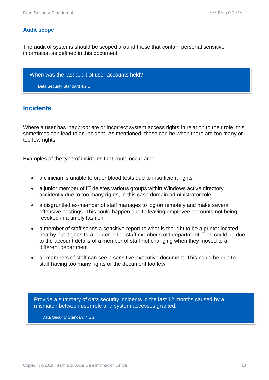#### <span id="page-9-0"></span>**Audit scope**

The audit of systems should be scoped around those that contain personal sensitive information as defined in this document.

When was the last audit of user accounts held? Data Security Standard 4.2.1

#### <span id="page-9-1"></span>**Incidents**

Where a user has inappropriate or incorrect system access rights in relation to their role, this sometimes can lead to an incident. As mentioned, these can be when there are too many or too few rights.

Examples of the type of incidents that could occur are:

- a clinician is unable to order blood tests due to insufficient rights
- a junior member of IT deletes various groups within Windows active directory accidently due to too many rights, in this case domain administrator role
- a disgruntled ex-member of staff manages to log on remotely and make several offensive postings. This could happen due to leaving employee accounts not being revoked in a timely fashion
- a member of staff sends a sensitive report to what is thought to be a printer located nearby but it goes to a printer in the staff member's old department. This could be due to the account details of a member of staff not changing when they moved to a different department
- all members of staff can see a sensitive executive document. This could be due to staff having too many rights or the document too few.

Provide a summary of data security incidents in the last 12 months caused by a mismatch between user role and system accesses granted.

Data Security Standard 4.2.2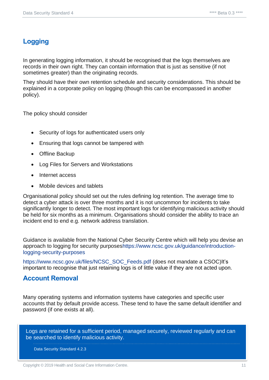#### <span id="page-10-0"></span>**Logging**

In generating logging information, it should be recognised that the logs themselves are records in their own right. They can contain information that is just as sensitive (if not sometimes greater) than the originating records.

They should have their own retention schedule and security considerations. This should be explained in a corporate policy on logging (though this can be encompassed in another policy).

The policy should consider

- Security of logs for authenticated users only
- Ensuring that logs cannot be tampered with
- Offline Backup
- Log Files for Servers and Workstations
- Internet access
- Mobile devices and tablets

Organisational policy should set out the rules defining log retention. The average time to detect a cyber attack is over three months and it is not uncommon for incidents to take significantly longer to detect. The most important logs for identifying malicious activity should be held for six months as a minimum. Organisations should consider the ability to trace an incident end to end e.g. network address translation.

Guidance is available from the National Cyber Security Centre which will help you devise an approach to logging for security purpose[shttps://www.ncsc.gov.uk/guidance/introduction](https://www.ncsc.gov.uk/guidance/introduction-logging-security-purposes)[logging-security-purposes](https://www.ncsc.gov.uk/guidance/introduction-logging-security-purposes)

[https://www.ncsc.gov.uk/files/NCSC\\_SOC\\_Feeds.pdf](https://www.ncsc.gov.uk/files/NCSC_SOC_Feeds.pdf) (does not mandate a CSOC)It's important to recognise that just retaining logs is of little value if they are not acted upon.

#### <span id="page-10-1"></span>**Account Removal**

Many operating systems and information systems have categories and specific user accounts that by default provide access. These tend to have the same default identifier and password (if one exists at all).

Logs are retained for a sufficient period, managed securely, reviewed regularly and can be searched to identify malicious activity.

Data Security Standard 4.2.3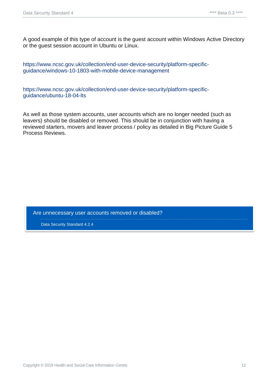A good example of this type of account is the guest account within Windows Active Directory or the guest session account in Ubuntu or Linux.

[https://www.ncsc.gov.uk/collection/end-user-device-security/platform-specific](https://www.ncsc.gov.uk/collection/end-user-device-security/platform-specific-guidance/windows-10-1803-with-mobile-device-management)[guidance/windows-10-1803-with-mobile-device-management](https://www.ncsc.gov.uk/collection/end-user-device-security/platform-specific-guidance/windows-10-1803-with-mobile-device-management)

[https://www.ncsc.gov.uk/collection/end-user-device-security/platform-specific](https://www.ncsc.gov.uk/collection/end-user-device-security/platform-specific-guidance/ubuntu-18-04-lts)[guidance/ubuntu-18-04-lts](https://www.ncsc.gov.uk/collection/end-user-device-security/platform-specific-guidance/ubuntu-18-04-lts)

As well as those system accounts, user accounts which are no longer needed (such as leavers) should be disabled or removed. This should be in conjunction with having a reviewed starters, movers and leaver process / policy as detailed in Big Picture Guide 5 Process Reviews.

<span id="page-11-0"></span>Are unnecessary user accounts removed or disabled?

Data Security Standard 4.2.4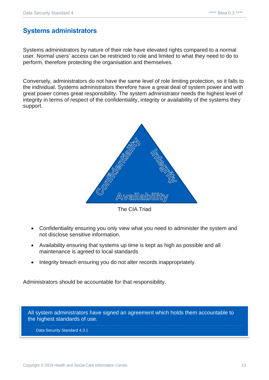#### **Systems administrators**

Systems administrators by nature of their role have elevated rights compared to a normal user. Normal users' access can be restricted to role and limited to what they need to do to perform, therefore protecting the organisation and themselves.

Conversely, administrators do not have the same level of role limiting protection, so it falls to the individual. Systems administrators therefore have a great deal of system power and with great power comes great responsibility. The system administrator needs the highest level of integrity in terms of respect of the confidentiality, integrity or availability of the systems they support.



The CIA Triad

- Confidentiality ensuring you only view what you need to administer the system and not disclose sensitive information.
- Availability ensuring that systems up time is kept as high as possible and all maintenance is agreed to local standards
- Integrity breach ensuring you do not alter records inappropriately.

Administrators should be accountable for that responsibility.

All system administrators have signed an agreement which holds them accountable to the highest standards of use.

Data Security Standard 4.3.1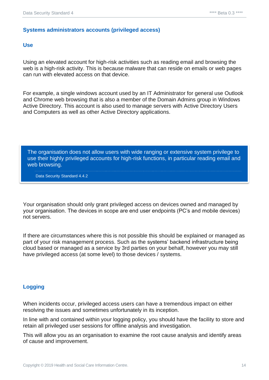#### <span id="page-13-0"></span>**Systems administrators accounts (privileged access)**

#### <span id="page-13-1"></span>**Use**

Using an elevated account for high-risk activities such as reading email and browsing the web is a high-risk activity. This is because malware that can reside on emails or web pages can run with elevated access on that device.

For example, a single windows account used by an IT Administrator for general use Outlook and Chrome web browsing that is also a member of the Domain Admins group in Windows Active Directory. This account is also used to manage servers with Active Directory Users and Computers as well as other Active Directory applications.

The organisation does not allow users with wide ranging or extensive system privilege to use their highly privileged accounts for high-risk functions, in particular reading email and web browsing.

Data Security Standard 4.4.2

Your organisation should only grant privileged access on devices owned and managed by your organisation. The devices in scope are end user endpoints (PC's and mobile devices) not servers.

If there are circumstances where this is not possible this should be explained or managed as part of your risk management process. Such as the systems' backend infrastructure being cloud based or managed as a service by 3rd parties on your behalf, however you may still have privileged access (at some level) to those devices / systems.

#### <span id="page-13-2"></span>**Logging**

When incidents occur, privileged access users can have a tremendous impact on either resolving the issues and sometimes unfortunately in its inception.

In line with and contained within your logging policy, you should have the facility to store and retain all privileged user sessions for offline analysis and investigation.

This will allow you as an organisation to examine the root cause analysis and identify areas of cause and improvement.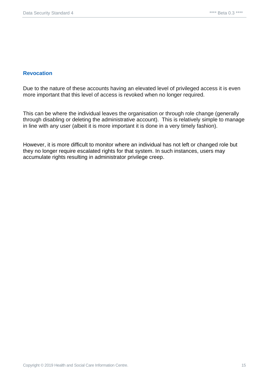#### <span id="page-14-0"></span>**Revocation**

Due to the nature of these accounts having an elevated level of privileged access it is even more important that this level of access is revoked when no longer required.

This can be where the individual leaves the organisation or through role change (generally through disabling or deleting the administrative account). This is relatively simple to manage in line with any user (albeit it is more important it is done in a very timely fashion).

However, it is more difficult to monitor where an individual has not left or changed role but they no longer require escalated rights for that system. In such instances, users may accumulate rights resulting in administrator privilege creep.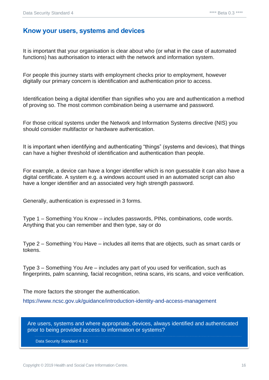#### <span id="page-15-0"></span>**Know your users, systems and devices**

It is important that your organisation is clear about who (or what in the case of automated functions) has authorisation to interact with the network and information system.

For people this journey starts with employment checks prior to employment, however digitally our primary concern is identification and authentication prior to access.

Identification being a digital identifier than signifies who you are and authentication a method of proving so. The most common combination being a username and password.

For those critical systems under the Network and Information Systems directive (NIS) you should consider multifactor or hardware authentication.

It is important when identifying and authenticating "things" (systems and devices), that things can have a higher threshold of identification and authentication than people.

For example, a device can have a longer identifier which is non guessable it can also have a digital certificate. A system e.g. a windows account used in an automated script can also have a longer identifier and an associated very high strength password.

Generally, authentication is expressed in 3 forms.

Type 1 – Something You Know – includes passwords, PINs, combinations, code words. Anything that you can remember and then type, say or do

Type 2 – Something You Have – includes all items that are objects, such as smart cards or tokens.

Type 3 – Something You Are – includes any part of you used for verification, such as fingerprints, palm scanning, facial recognition, retina scans, iris scans, and voice verification.

The more factors the stronger the authentication.

<https://www.ncsc.gov.uk/guidance/introduction-identity-and-access-management>

Are users, systems and where appropriate, devices, always identified and authenticated prior to being provided access to information or systems?

Data Security Standard 4.3.2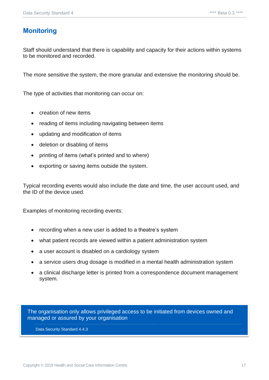#### <span id="page-16-0"></span>**Monitoring**

Staff should understand that there is capability and capacity for their actions within systems to be monitored and recorded.

The more sensitive the system, the more granular and extensive the monitoring should be.

The type of activities that monitoring can occur on:

- creation of new items
- reading of items including navigating between items
- updating and modification of items
- deletion or disabling of items
- printing of items (what's printed and to where)
- exporting or saving items outside the system.

Typical recording events would also include the date and time, the user account used, and the ID of the device used.

Examples of monitoring recording events:

- recording when a new user is added to a theatre's system
- what patient records are viewed within a patient administration system
- a user account is disabled on a cardiology system
- a service users drug dosage is modified in a mental health administration system
- a clinical discharge letter is printed from a correspondence document management system.

The organisation only allows privileged access to be initiated from devices owned and managed or assured by your organisation

Data Security Standard 4.4.3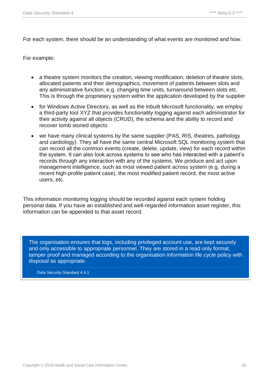For each system, there should be an understanding of what events are monitored and how.

For example:

- a theatre system monitors the creation, viewing modification, deletion of theatre slots, allocated patients and their demographics, movement of patients between slots and any administrative function, e.g. changing time units, turnaround between slots etc. This is through the proprietary system within the application developed by the supplier
- for Windows Active Directory, as well as the inbuilt Microsoft functionality, we employ a third-party tool XYZ that provides functionality logging against each administrator for their activity against all objects (CRUD), the schema and the ability to record and recover tomb stoned objects
- we have many clinical systems by the same supplier (PAS, RIS, theatres, pathology and cardiology). They all have the same central Microsoft SQL monitoring system that can record all the common events (create, delete, update, view) for each record within the system. It can also look across systems to see who has interacted with a patient's records through any interaction with any of the systems. We produce and act upon management intelligence, such as most viewed patient across system (e.g. during a recent high-profile patient case), the most modified patient record, the most active users, etc.

This information monitoring logging should be recorded against each system holding personal data. If you have an established and well-regarded information asset register, this information can be appended to that asset record.

The organisation ensures that logs, including privileged account use, are kept securely and only accessible to appropriate personnel. They are stored in a read only format, tamper proof and managed according to the organisation information life cycle policy with disposal as appropriate.

Data Security Standard 4.4.1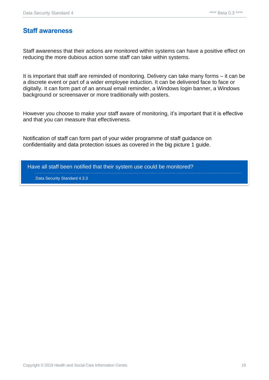#### <span id="page-18-0"></span>**Staff awareness**

Staff awareness that their actions are monitored within systems can have a positive effect on reducing the more dubious action some staff can take within systems.

It is important that staff are reminded of monitoring. Delivery can take many forms – it can be a discrete event or part of a wider employee induction. It can be delivered face to face or digitally. It can form part of an annual email reminder, a Windows login banner, a Windows background or screensaver or more traditionally with posters.

However you choose to make your staff aware of monitoring, it's important that it is effective and that you can measure that effectiveness.

Notification of staff can form part of your wider programme of staff guidance on confidentiality and data protection issues as covered in the big picture 1 guide.

Have all staff been notified that their system use could be monitored?

Data Security Standard 4.3.3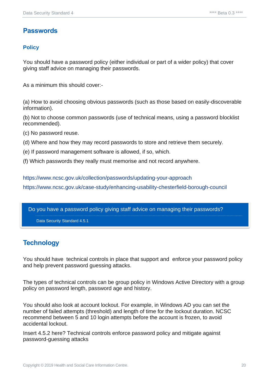#### <span id="page-19-0"></span>**Passwords**

#### <span id="page-19-1"></span>**Policy**

You should have a password policy (either individual or part of a wider policy) that cover giving staff advice on managing their passwords.

As a minimum this should cover:-

(a) How to avoid choosing obvious passwords (such as those based on easily-discoverable information).

(b) Not to choose common passwords (use of technical means, using a password blocklist recommended).

- (c) No password reuse.
- (d) Where and how they may record passwords to store and retrieve them securely.
- (e) If password management software is allowed, if so, which.
- (f) Which passwords they really must memorise and not record anywhere.

<https://www.ncsc.gov.uk/collection/passwords/updating-your-approach> <https://www.ncsc.gov.uk/case-study/enhancing-usability-chesterfield-borough-council>

Do you have a password policy giving staff advice on managing their passwords?

Data Security Standard 4.5.1

#### <span id="page-19-2"></span>**Technology**

You should have technical controls in place that support and enforce your password policy and help prevent password guessing attacks.

The types of technical controls can be group policy in Windows Active Directory with a group policy on password length, password age and history.

You should also look at account lockout. For example, in Windows AD you can set the number of failed attempts (threshold) and length of time for the lockout duration. NCSC recommend between 5 and 10 login attempts before the account is frozen, to avoid accidental lockout.

Insert 4.5.2 here? Technical controls enforce password policy and mitigate against password-guessing attacks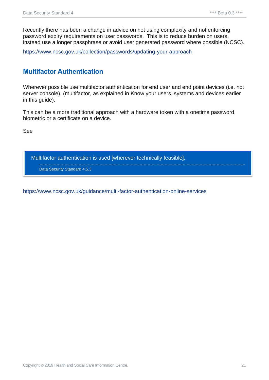Recently there has been a change in advice on not using complexity and not enforcing password expiry requirements on user passwords. This is to reduce burden on users, instead use a longer passphrase or avoid user generated password where possible (NCSC).

<https://www.ncsc.gov.uk/collection/passwords/updating-your-approach>

#### <span id="page-20-0"></span>**Multifactor Authentication**

Wherever possible use multifactor authentication for end user and end point devices (i.e. not server console). (multifactor, as explained in Know your users, systems and devices earlier in this guide).

This can be a more traditional approach with a hardware token with a onetime password, biometric or a certificate on a device.

See

Multifactor authentication is used [wherever technically feasible].

Data Security Standard 4.5.3

<https://www.ncsc.gov.uk/guidance/multi-factor-authentication-online-services>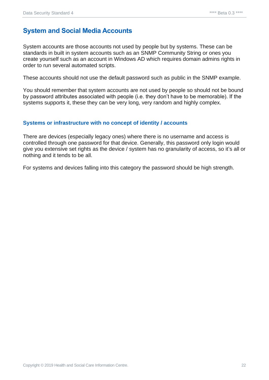#### <span id="page-21-0"></span>**System and Social Media Accounts**

System accounts are those accounts not used by people but by systems. These can be standards in built in system accounts such as an SNMP Community String or ones you create yourself such as an account in Windows AD which requires domain admins rights in order to run several automated scripts.

These accounts should not use the default password such as public in the SNMP example.

You should remember that system accounts are not used by people so should not be bound by password attributes associated with people (i.e. they don't have to be memorable). If the systems supports it, these they can be very long, very random and highly complex.

#### <span id="page-21-1"></span>**Systems or infrastructure with no concept of identity / accounts**

There are devices (especially legacy ones) where there is no username and access is controlled through one password for that device. Generally, this password only login would give you extensive set rights as the device / system has no granularity of access, so it's all or nothing and it tends to be all.

For systems and devices falling into this category the password should be high strength.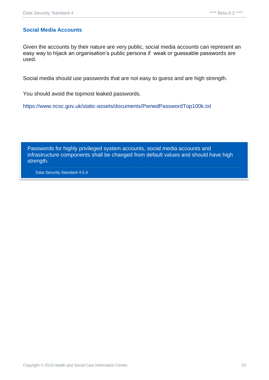#### <span id="page-22-0"></span>**Social Media Accounts**

Given the accounts by their nature are very public, social media accounts can represent an easy way to hijack an organisation's public persona if weak or guessable passwords are used.

Social media should use passwords that are not easy to guess and are high strength.

You should avoid the topmost leaked passwords.

<https://www.ncsc.gov.uk/static-assets/documents/PwnedPasswordTop100k.txt>

Passwords for highly privileged system accounts, social media accounts and infrastructure components shall be changed from default values and should have high strength.

Data Security Standard 4.5.4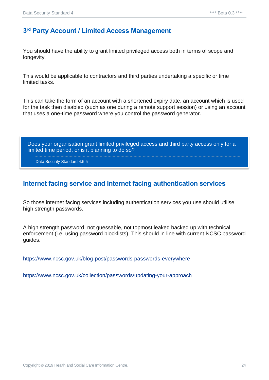#### <span id="page-23-0"></span>**3 rd Party Account / Limited Access Management**

You should have the ability to grant limited privileged access both in terms of scope and longevity.

This would be applicable to contractors and third parties undertaking a specific or time limited tasks.

This can take the form of an account with a shortened expiry date, an account which is used for the task then disabled (such as one during a remote support session) or using an account that uses a one-time password where you control the password generator.

Does your organisation grant limited privileged access and third party access only for a limited time period, or is it planning to do so?

Data Security Standard 4.5.5

#### <span id="page-23-1"></span>**Internet facing service and Internet facing authentication services**

So those internet facing services including authentication services you use should utilise high strength passwords.

A high strength password, not guessable, not topmost leaked backed up with technical enforcement (i.e. using password blocklists). This should in line with current NCSC password guides.

<https://www.ncsc.gov.uk/blog-post/passwords-passwords-everywhere>

<https://www.ncsc.gov.uk/collection/passwords/updating-your-approach>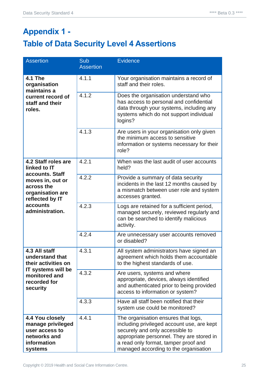# <span id="page-24-1"></span><span id="page-24-0"></span>**Appendix 1 - Table of Data Security Level 4 Assertions**

| <b>Assertion</b>                                                                                                                                               | Sub<br><b>Assertion</b> | <b>Evidence</b>                                                                                                                                                                                                                                    |
|----------------------------------------------------------------------------------------------------------------------------------------------------------------|-------------------------|----------------------------------------------------------------------------------------------------------------------------------------------------------------------------------------------------------------------------------------------------|
| <b>4.1 The</b><br>organisation<br>maintains a<br>current record of<br>staff and their<br>roles.                                                                | 4.1.1                   | Your organisation maintains a record of<br>staff and their roles.                                                                                                                                                                                  |
|                                                                                                                                                                | 4.1.2                   | Does the organisation understand who<br>has access to personal and confidential<br>data through your systems, including any<br>systems which do not support individual<br>logins?                                                                  |
|                                                                                                                                                                | 4.1.3                   | Are users in your organisation only given<br>the minimum access to sensitive<br>information or systems necessary for their<br>role?                                                                                                                |
| 4.2 Staff roles are<br>linked to IT<br>accounts. Staff<br>moves in, out or<br>across the<br>organisation are<br>reflected by IT<br>accounts<br>administration. | 4.2.1                   | When was the last audit of user accounts<br>held?                                                                                                                                                                                                  |
|                                                                                                                                                                | 4.2.2                   | Provide a summary of data security<br>incidents in the last 12 months caused by<br>a mismatch between user role and system<br>accesses granted.                                                                                                    |
|                                                                                                                                                                | 4.2.3                   | Logs are retained for a sufficient period,<br>managed securely, reviewed regularly and<br>can be searched to identify malicious<br>activity.                                                                                                       |
|                                                                                                                                                                | 4.2.4                   | Are unnecessary user accounts removed<br>or disabled?                                                                                                                                                                                              |
| 4.3 All staff<br>understand that<br>their activities on<br>IT systems will be<br>monitored and<br>recorded for<br>security                                     | 4.3.1                   | All system administrators have signed an<br>agreement which holds them accountable<br>to the highest standards of use.                                                                                                                             |
|                                                                                                                                                                | 4.3.2                   | Are users, systems and where<br>appropriate, devices, always identified<br>and authenticated prior to being provided<br>access to information or system?                                                                                           |
|                                                                                                                                                                | 4.3.3                   | Have all staff been notified that their<br>system use could be monitored?                                                                                                                                                                          |
| 4.4 You closely<br>manage privileged<br>user access to<br>networks and<br>information<br>systems                                                               | 4.4.1                   | The organisation ensures that logs,<br>including privileged account use, are kept<br>securely and only accessible to<br>appropriate personnel. They are stored in<br>a read only format, tamper proof and<br>managed according to the organisation |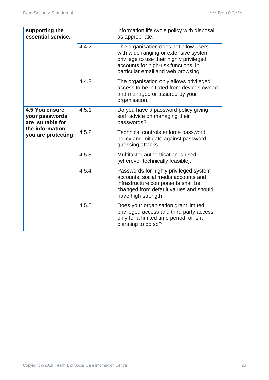| supporting the<br>essential service.                                                          |       | information life cycle policy with disposal<br>as appropriate.                                                                                                                                           |
|-----------------------------------------------------------------------------------------------|-------|----------------------------------------------------------------------------------------------------------------------------------------------------------------------------------------------------------|
|                                                                                               | 4.4.2 | The organisation does not allow users<br>with wide ranging or extensive system<br>privilege to use their highly privileged<br>accounts for high-risk functions, in<br>particular email and web browsing. |
|                                                                                               | 4.4.3 | The organisation only allows privileged<br>access to be initiated from devices owned<br>and managed or assured by your<br>organisation.                                                                  |
| 4.5 You ensure<br>your passwords<br>are suitable for<br>the information<br>you are protecting | 4.5.1 | Do you have a password policy giving<br>staff advice on managing their<br>passwords?                                                                                                                     |
|                                                                                               | 4.5.2 | Technical controls enforce password<br>policy and mitigate against password-<br>guessing attacks.                                                                                                        |
|                                                                                               | 4.5.3 | Multifactor authentication is used<br>[wherever technically feasible].                                                                                                                                   |
|                                                                                               | 4.5.4 | Passwords for highly privileged system<br>accounts, social media accounts and<br>infrastructure components shall be<br>changed from default values and should<br>have high strength.                     |
|                                                                                               | 4.5.5 | Does your organisation grant limited<br>privileged access and third party access<br>only for a limited time period, or is it<br>planning to do so?                                                       |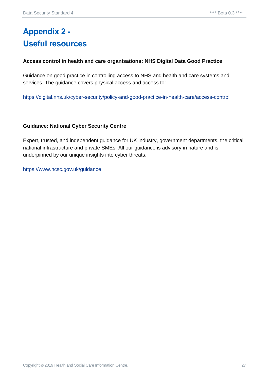# <span id="page-26-1"></span><span id="page-26-0"></span>**Appendix 2 - Useful resources**

#### **Access control in health and care organisations: NHS Digital Data Good Practice**

Guidance on good practice in controlling access to NHS and health and care systems and services. The guidance covers physical access and access to:

<https://digital.nhs.uk/cyber-security/policy-and-good-practice-in-health-care/access-control>

#### **Guidance: National Cyber Security Centre**

Expert, trusted, and independent guidance for UK industry, government departments, the critical national infrastructure and private SMEs. All our guidance is advisory in nature and is underpinned by our unique insights into cyber threats.

<https://www.ncsc.gov.uk/guidance>